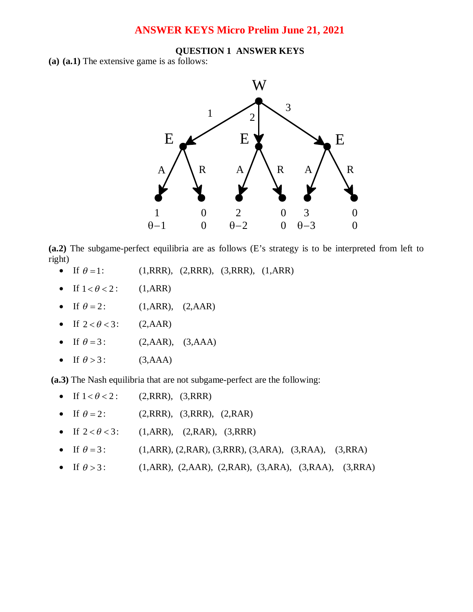# **ANSWER KEYS Micro Prelim June 21, 2021**

## **QUESTION 1 ANSWER KEYS**

**(a) (a.1)** The extensive game is as follows:



**(a.2)** The subgame-perfect equilibria are as follows (E's strategy is to be interpreted from left to right)

- If  $\theta = 1$ : (1,RRR), (2,RRR), (3,RRR), (1,ARR)
- If  $1 < \theta < 2$ : (1,ARR)
- If  $\theta = 2$ : (1,ARR), (2,AAR)
- If  $2 < \theta < 3$ : (2, AAR)
- If  $\theta = 3$ : (2,AAR), (3,AAA)
- If  $\theta > 3$ : (3,AAA)

**(a.3)** The Nash equilibria that are not subgame-perfect are the following:

- If  $1 < \theta < 2$ : (2,RRR), (3,RRR)
- If  $\theta = 2$ : (2,RRR), (3,RRR), (2,RAR)
- If  $2 < \theta < 3$ : (1,ARR), (2,RAR), (3,RRR)
- If  $\theta = 3$ : (1,ARR), (2,RAR), (3,RRR), (3,ARA), (3,RAA), (3,RRA)
- If  $\theta > 3$ : (1,ARR), (2,AAR), (2,RAR), (3,ARA), (3,RAA), (3,RRA)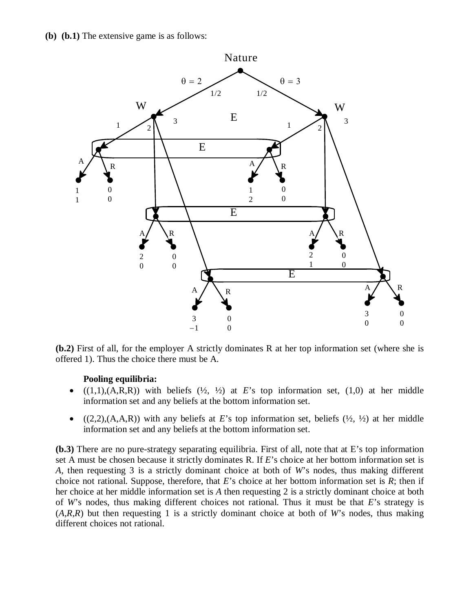

**(b.2)** First of all, for the employer A strictly dominates R at her top information set (where she is offered 1). Thus the choice there must be A.

## **Pooling equilibria:**

- $(1,1),(A,R,R))$  with beliefs  $(\frac{1}{2}, \frac{1}{2})$  at *E*'s top information set,  $(1,0)$  at her middle information set and any beliefs at the bottom information set.
- $(2,2),(A,A,R))$  with any beliefs at *E*'s top information set, beliefs  $(\frac{1}{2}, \frac{1}{2})$  at her middle information set and any beliefs at the bottom information set.

**(b.3)** There are no pure-strategy separating equilibria. First of all, note that at E's top information set A must be chosen because it strictly dominates R. If *E*'s choice at her bottom information set is *A,* then requesting 3 is a strictly dominant choice at both of *W*'s nodes, thus making different choice not rational. Suppose, therefore, that *E*'s choice at her bottom information set is *R*; then if her choice at her middle information set is *A* then requesting 2 is a strictly dominant choice at both of *W*'s nodes, thus making different choices not rational. Thus it must be that *E*'s strategy is (*A,R,R*) but then requesting 1 is a strictly dominant choice at both of *W*'s nodes, thus making different choices not rational.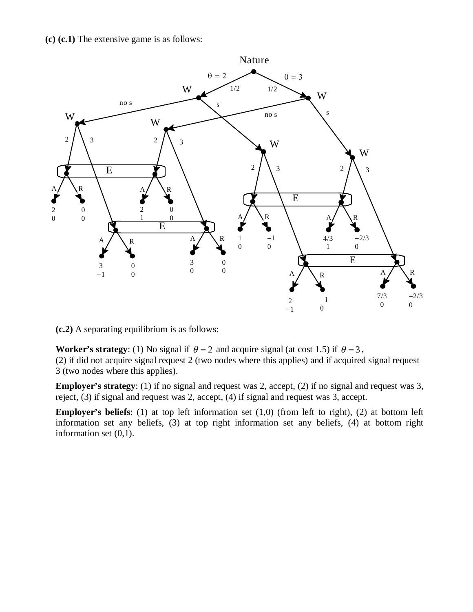**(c) (c.1)** The extensive game is as follows:



**(c.2)** A separating equilibrium is as follows:

**Worker's strategy**: (1) No signal if  $\theta = 2$  and acquire signal (at cost 1.5) if  $\theta = 3$ , (2) if did not acquire signal request 2 (two nodes where this applies) and if acquired signal request 3 (two nodes where this applies).

**Employer's strategy**: (1) if no signal and request was 2, accept, (2) if no signal and request was 3, reject, (3) if signal and request was 2, accept, (4) if signal and request was 3, accept.

**Employer's beliefs**: (1) at top left information set (1,0) (from left to right), (2) at bottom left information set any beliefs, (3) at top right information set any beliefs, (4) at bottom right information set (0,1).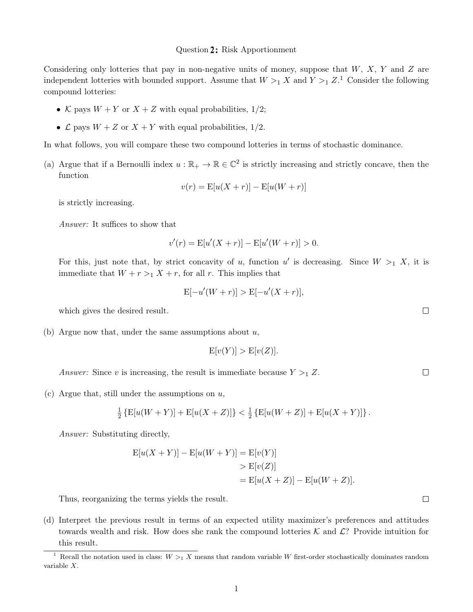#### Question 2: Risk Apportionment

Considering only lotteries that pay in non-negative units of money, suppose that  $W$ ,  $X$ ,  $Y$  and  $Z$  are independent lotteries with bounded support. Assume that  $W >_1 X$  and  $Y >_1 Z$ .<sup>1</sup> Consider the following compound lotteries:

- K pays  $W + Y$  or  $X + Z$  with equal probabilities, 1/2;
- $\mathcal L$  pays  $W + Z$  or  $X + Y$  with equal probabilities, 1/2.

In what follows, you will compare these two compound lotteries in terms of stochastic dominance.

(a) Argue that if a Bernoulli index  $u : \mathbb{R}_+ \to \mathbb{R} \in \mathbb{C}^2$  is strictly increasing and strictly concave, then the function

$$
v(r) = \mathbb{E}[u(X+r)] - \mathbb{E}[u(W+r)]
$$

is strictly increasing.

Answer: It suffices to show that

$$
v'(r) = \mathbb{E}[u'(X+r)] - \mathbb{E}[u'(W+r)] > 0.
$$

For this, just note that, by strict concavity of u, function u' is decreasing. Since  $W >_1 X$ , it is immediate that  $W + r >_1 X + r$ , for all r. This implies that

$$
E[-u'(W+r)] > E[-u'(X+r)],
$$

which gives the desired result.

(b) Argue now that, under the same assumptions about  $u$ ,

$$
E[v(Y)] > E[v(Z)].
$$

Answer: Since v is increasing, the result is immediate because  $Y >_1 Z$ .

(c) Argue that, still under the assumptions on  $u$ ,

$$
\frac{1}{2}\left\{\text{E}[u(W+Y)] + \text{E}[u(X+Z)]\right\} < \frac{1}{2}\left\{\text{E}[u(W+Z)] + \text{E}[u(X+Y)]\right\}.
$$

Answer: Substituting directly,

$$
E[u(X+Y)] - E[u(W+Y)] = E[v(Y)]
$$
  
> E[v(Z)]  
= E[u(X+Z)] - E[u(W+Z)].

Thus, reorganizing the terms yields the result.

(d) Interpret the previous result in terms of an expected utility maximizer's preferences and attitudes towards wealth and risk. How does she rank the compound lotteries  $K$  and  $\mathcal{L}$ ? Provide intuition for this result.

 $\Box$ 

 $\Box$ 

 $\Box$ 

<sup>&</sup>lt;sup>1</sup> Recall the notation used in class:  $W >_1 X$  means that random variable W first-order stochastically dominates random variable X.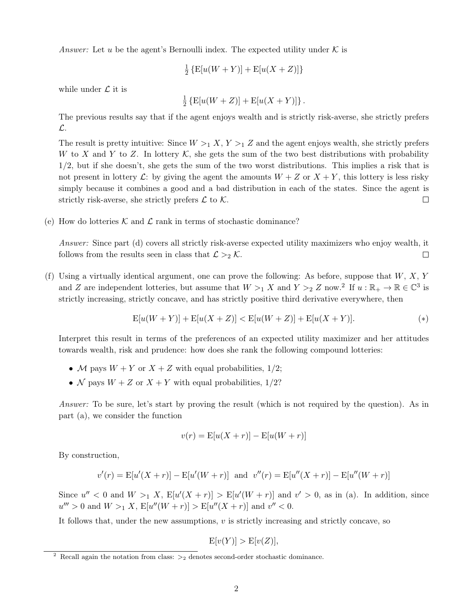Answer: Let u be the agent's Bernoulli index. The expected utility under  $K$  is

$$
\frac{1}{2}\left\{\text{E}[u(W+Y)] + \text{E}[u(X+Z)]\right\}
$$

while under  $\mathcal L$  it is

$$
\frac{1}{2} \left\{ E[u(W+Z)] + E[u(X+Y)] \right\}.
$$

The previous results say that if the agent enjoys wealth and is strictly risk-averse, she strictly prefers L.

The result is pretty intuitive: Since  $W >_1 X, Y >_1 Z$  and the agent enjoys wealth, she strictly prefers W to X and Y to Z. In lottery  $\mathcal K$ , she gets the sum of the two best distributions with probability 1/2, but if she doesn't, she gets the sum of the two worst distributions. This implies a risk that is not present in lottery  $\mathcal{L}$ : by giving the agent the amounts  $W + Z$  or  $X + Y$ , this lottery is less risky simply because it combines a good and a bad distribution in each of the states. Since the agent is strictly risk-averse, she strictly prefers  $\mathcal L$  to  $\mathcal K$ .  $\Box$ 

(e) How do lotteries K and  $\mathcal L$  rank in terms of stochastic dominance?

Answer: Since part (d) covers all strictly risk-averse expected utility maximizers who enjoy wealth, it follows from the results seen in class that  $\mathcal{L} >_2 \mathcal{K}$ .  $\Box$ 

(f) Using a virtually identical argument, one can prove the following: As before, suppose that  $W, X, Y$ and Z are independent lotteries, but assume that  $W >_1 X$  and  $Y >_2 Z$  now.<sup>2</sup> If  $u : \mathbb{R}_+ \to \mathbb{R} \in \mathbb{C}^3$  is strictly increasing, strictly concave, and has strictly positive third derivative everywhere, then

$$
E[u(W+Y)] + E[u(X+Z)] < E[u(W+Z)] + E[u(X+Y)]. \tag{*}
$$

Interpret this result in terms of the preferences of an expected utility maximizer and her attitudes towards wealth, risk and prudence: how does she rank the following compound lotteries:

- M pays  $W + Y$  or  $X + Z$  with equal probabilities, 1/2;
- N pays  $W + Z$  or  $X + Y$  with equal probabilities, 1/2?

Answer: To be sure, let's start by proving the result (which is not required by the question). As in part (a), we consider the function

$$
v(r) = \mathbb{E}[u(X+r)] - \mathbb{E}[u(W+r)]
$$

By construction,

$$
v'(r) = E[u'(X+r)] - E[u'(W+r)]
$$
 and  $v''(r) = E[u''(X+r)] - E[u''(W+r)]$ 

Since  $u'' < 0$  and  $W >_1 X$ ,  $E[u'(X+r)] > E[u'(W+r)]$  and  $v' > 0$ , as in (a). In addition, since  $u''' > 0$  and  $W >_1 X$ ,  $E[u''(W+r)] > E[u''(X+r)]$  and  $v'' < 0$ .

It follows that, under the new assumptions, v is strictly increasing and strictly concave, so

$$
E[v(Y)] > E[v(Z)],
$$

<sup>&</sup>lt;sup>2</sup> Recall again the notation from class:  $>2$  denotes second-order stochastic dominance.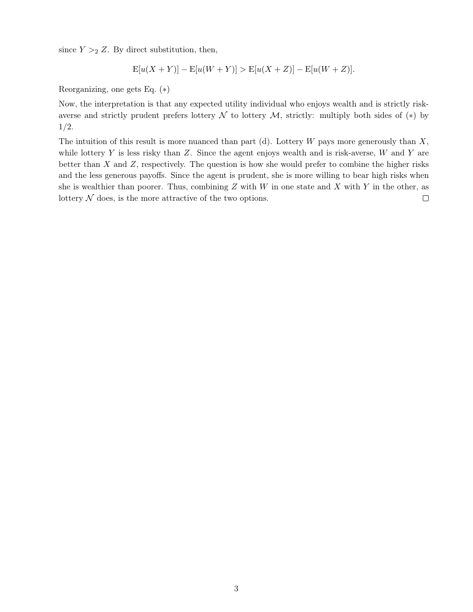since  $Y >_2 Z$ . By direct substitution, then,

$$
E[u(X+Y)] - E[u(W+Y)] > E[u(X+Z)] - E[u(W+Z)].
$$

Reorganizing, one gets Eq. (∗)

Now, the interpretation is that any expected utility individual who enjoys wealth and is strictly riskaverse and strictly prudent prefers lottery  $\mathcal N$  to lottery  $\mathcal M$ , strictly: multiply both sides of  $(*)$  by 1/2.

The intuition of this result is more nuanced than part (d). Lottery  $W$  pays more generously than  $X$ , while lottery  $Y$  is less risky than  $Z$ . Since the agent enjoys wealth and is risk-averse,  $W$  and  $Y$  are better than  $X$  and  $Z$ , respectively. The question is how she would prefer to combine the higher risks and the less generous payoffs. Since the agent is prudent, she is more willing to bear high risks when she is wealthier than poorer. Thus, combining  $Z$  with  $W$  in one state and  $X$  with  $Y$  in the other, as lottery  $N$  does, is the more attractive of the two options.  $\Box$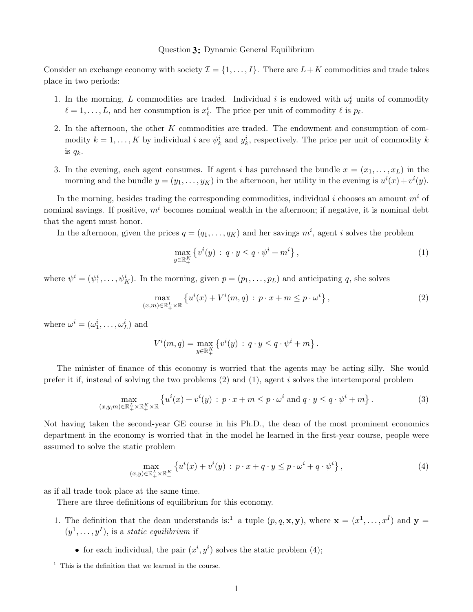### Question 2: Dynamic General Equilibrium

Consider an exchange economy with society  $\mathcal{I} = \{1, \ldots, I\}$ . There are  $L+K$  commodities and trade takes place in two periods:

- 1. In the morning, L commodities are traded. Individual i is endowed with  $\omega_{\ell}^{i}$  units of commodity  $\ell = 1, \ldots, L$ , and her consumption is  $x_{\ell}^{i}$ . The price per unit of commodity  $\ell$  is  $p_{\ell}$ .
- 2. In the afternoon, the other K commodities are traded. The endowment and consumption of commodity  $k = 1, ..., K$  by individual i are  $\psi_k^i$  and  $y_k^i$ , respectively. The price per unit of commodity k is  $q_k$ .
- 3. In the evening, each agent consumes. If agent i has purchased the bundle  $x = (x_1, \ldots, x_L)$  in the morning and the bundle  $y = (y_1, \ldots, y_K)$  in the afternoon, her utility in the evening is  $u^i(x) + v^i(y)$ .

In the morning, besides trading the corresponding commodities, individual i chooses an amount  $m<sup>i</sup>$  of nominal savings. If positive,  $m<sup>i</sup>$  becomes nominal wealth in the afternoon; if negative, it is nominal debt that the agent must honor.

In the afternoon, given the prices  $q = (q_1, \ldots, q_K)$  and her savings  $m^i$ , agent i solves the problem

$$
\max_{y \in \mathbb{R}_+^K} \left\{ v^i(y) \, : \, q \cdot y \le q \cdot \psi^i + m^i \right\},\tag{1}
$$

where  $\psi^i = (\psi_1^i, \dots, \psi_K^i)$ . In the morning, given  $p = (p_1, \dots, p_L)$  and anticipating q, she solves

$$
\max_{(x,m)\in\mathbb{R}_+^L\times\mathbb{R}}\left\{u^i(x)+V^i(m,q)\,:\,p\cdot x+m\leq p\cdot\omega^i\right\},\tag{2}
$$

where  $\omega^i = (\omega_1^i, \dots, \omega_L^i)$  and

$$
V^{i}(m, q) = \max_{y \in \mathbb{R}_{+}^{K}} \left\{ v^{i}(y) \, : \, q \cdot y \leq q \cdot \psi^{i} + m \right\}.
$$

The minister of finance of this economy is worried that the agents may be acting silly. She would prefer it if, instead of solving the two problems  $(2)$  and  $(1)$ , agent i solves the intertemporal problem

$$
\max_{(x,y,m)\in\mathbb{R}_+^L\times\mathbb{R}_+^K\times\mathbb{R}}\left\{u^i(x)+v^i(y):p\cdot x+m\leq p\cdot\omega^i\text{ and }q\cdot y\leq q\cdot\psi^i+m\right\}.\tag{3}
$$

Not having taken the second-year GE course in his Ph.D., the dean of the most prominent economics department in the economy is worried that in the model he learned in the first-year course, people were assumed to solve the static problem

$$
\max_{(x,y)\in\mathbb{R}_+^L\times\mathbb{R}_+^K} \left\{ u^i(x) + v^i(y) \,:\, p\cdot x + q\cdot y \le p\cdot\omega^i + q\cdot\psi^i \right\},\tag{4}
$$

as if all trade took place at the same time.

There are three definitions of equilibrium for this economy.

- 1. The definition that the dean understands is:<sup>1</sup> a tuple  $(p,q,\mathbf{x},\mathbf{y})$ , where  $\mathbf{x} = (x^1,\ldots,x^I)$  and  $\mathbf{y} =$  $(y^1, \ldots, y^I)$ , is a *static equilibrium* if
	- for each individual, the pair  $(x^i, y^i)$  solves the static problem (4);

 $\frac{1}{1}$  This is the definition that we learned in the course.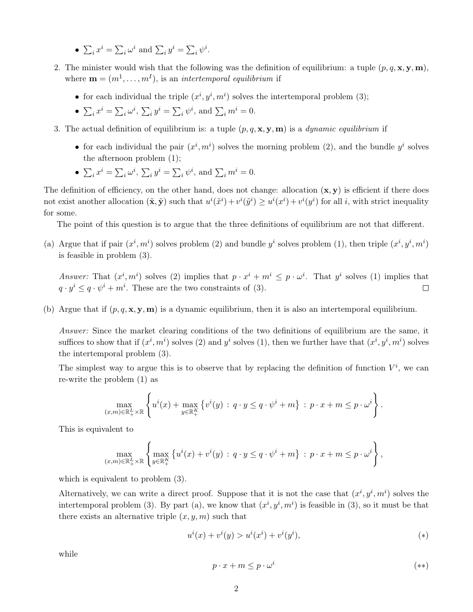- $\sum_i x^i = \sum_i \omega^i$  and  $\sum_i y^i = \sum_i \psi^i$ .
- 2. The minister would wish that the following was the definition of equilibrium: a tuple  $(p, q, x, y, m)$ , where  $\mathbf{m} = (m^1, \dots, m^I)$ , is an *intertemporal equilibrium* if
	- for each individual the triple  $(x^i, y^i, m^i)$  solves the intertemporal problem (3);
	- $\sum_i x^i = \sum_i \omega^i$ ,  $\sum_i y^i = \sum_i \psi^i$ , and  $\sum_i m^i = 0$ .
- 3. The actual definition of equilibrium is: a tuple  $(p, q, \mathbf{x}, \mathbf{y}, \mathbf{m})$  is a *dynamic equilibrium* if
	- for each individual the pair  $(x^i, m^i)$  solves the morning problem (2), and the bundle  $y^i$  solves the afternoon problem (1);
	- $\sum_i x^i = \sum_i \omega^i$ ,  $\sum_i y^i = \sum_i \psi^i$ , and  $\sum_i m^i = 0$ .

The definition of efficiency, on the other hand, does not change: allocation  $(x, y)$  is efficient if there does not exist another allocation  $(\tilde{\mathbf{x}}, \tilde{\mathbf{y}})$  such that  $u^i(\tilde{x}^i) + v^i(\tilde{y}^i) \geq u^i(x^i) + v^i(y^i)$  for all i, with strict inequality for some.

The point of this question is to argue that the three definitions of equilibrium are not that different.

(a) Argue that if pair  $(x^i, m^i)$  solves problem (2) and bundle  $y^i$  solves problem (1), then triple  $(x^i, y^i, m^i)$ is feasible in problem (3).

Answer: That  $(x^i, m^i)$  solves (2) implies that  $p \cdot x^i + m^i \leq p \cdot \omega^i$ . That  $y^i$  solves (1) implies that  $q \cdot y^i \leq q \cdot \psi^i + m^i$ . These are the two constraints of (3).  $\Box$ 

(b) Argue that if  $(p, q, \mathbf{x}, \mathbf{y}, \mathbf{m})$  is a dynamic equilibrium, then it is also an intertemporal equilibrium.

Answer: Since the market clearing conditions of the two definitions of equilibrium are the same, it suffices to show that if  $(x^i, m^i)$  solves (2) and  $y^i$  solves (1), then we further have that  $(x^i, y^i, m^i)$  solves the intertemporal problem (3).

The simplest way to argue this is to observe that by replacing the definition of function  $V^i$ , we can re-write the problem (1) as

$$
\max_{(x,m)\in\mathbb{R}_+^L\times\mathbb{R}}\left\{u^i(x)+\max_{y\in\mathbb{R}_+^K}\left\{v^i(y)\,:\,q\cdot y\leq q\cdot\psi^i+m\right\}\,:\,p\cdot x+m\leq p\cdot\omega^i\right\}.
$$

This is equivalent to

$$
\max_{(x,m)\in\mathbb{R}_+^L\times\mathbb{R}}\left\{\max_{y\in\mathbb{R}_+^K}\left\{u^i(x)+v^i(y)\,:\,q\cdot y\leq q\cdot\psi^i+m\right\}\,:\,p\cdot x+m\leq p\cdot\omega^i\right\},
$$

which is equivalent to problem (3).

Alternatively, we can write a direct proof. Suppose that it is not the case that  $(x^i, y^i, m^i)$  solves the intertemporal problem (3). By part (a), we know that  $(x^i, y^i, m^i)$  is feasible in (3), so it must be that there exists an alternative triple  $(x, y, m)$  such that

$$
u^{i}(x) + v^{i}(y) > u^{i}(x^{i}) + v^{i}(y^{i}),
$$
\n<sup>(\*)</sup>

while

$$
p \cdot x + m \le p \cdot \omega^i \tag{**}
$$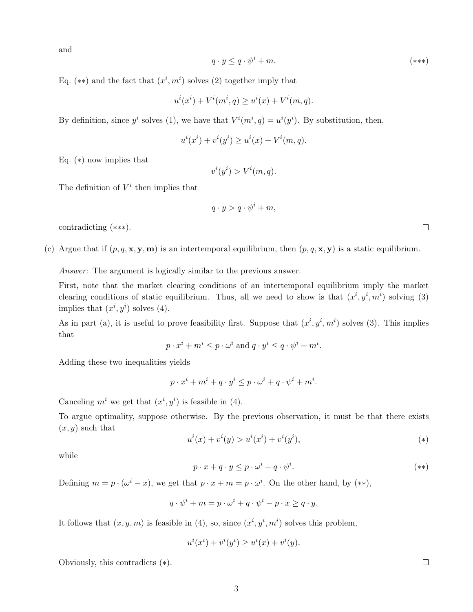and

$$
q \cdot y \le q \cdot \psi^i + m. \tag{***}
$$

Eq. (\*\*) and the fact that  $(x^i, m^i)$  solves (2) together imply that

$$
u^{i}(x^{i}) + V^{i}(m^{i}, q) \ge u^{i}(x) + V^{i}(m, q).
$$

By definition, since  $y^i$  solves (1), we have that  $V^i(m^i, q) = u^i(y^i)$ . By substitution, then,

$$
u^{i}(x^{i}) + v^{i}(y^{i}) \geq u^{i}(x) + V^{i}(m, q).
$$

Eq. (∗) now implies that

$$
v^{i}(y^{i}) > V^{i}(m, q).
$$

The definition of  $V^i$  then implies that

$$
q \cdot y > q \cdot \psi^i + m,
$$

contradicting (∗∗∗).

(c) Argue that if  $(p, q, \mathbf{x}, \mathbf{y}, \mathbf{m})$  is an intertemporal equilibrium, then  $(p, q, \mathbf{x}, \mathbf{y})$  is a static equilibrium.

Answer: The argument is logically similar to the previous answer.

First, note that the market clearing conditions of an intertemporal equilibrium imply the market clearing conditions of static equilibrium. Thus, all we need to show is that  $(x^i, y^i, m^i)$  solving (3) implies that  $(x^i, y^i)$  solves (4).

As in part (a), it is useful to prove feasibility first. Suppose that  $(x^i, y^i, m^i)$  solves (3). This implies that

$$
p \cdot x^i + m^i \leq p \cdot \omega^i
$$
 and  $q \cdot y^i \leq q \cdot \psi^i + m^i$ .

Adding these two inequalities yields

$$
p \cdot x^i + m^i + q \cdot y^i \le p \cdot \omega^i + q \cdot \psi^i + m^i.
$$

Canceling  $m^i$  we get that  $(x^i, y^i)$  is feasible in (4).

To argue optimality, suppose otherwise. By the previous observation, it must be that there exists  $(x, y)$  such that

$$
u^{i}(x) + v^{i}(y) > u^{i}(x^{i}) + v^{i}(y^{i}),
$$
\n<sup>(\*)</sup>

while

$$
p \cdot x + q \cdot y \le p \cdot \omega^i + q \cdot \psi^i. \tag{**}
$$

Defining  $m = p \cdot (\omega^i - x)$ , we get that  $p \cdot x + m = p \cdot \omega^i$ . On the other hand, by  $(**)$ ,

$$
q \cdot \psi^i + m = p \cdot \omega^i + q \cdot \psi^i - p \cdot x \ge q \cdot y.
$$

It follows that  $(x, y, m)$  is feasible in (4), so, since  $(x<sup>i</sup>, y<sup>i</sup>, m<sup>i</sup>)$  solves this problem,

$$
u^{i}(x^{i}) + v^{i}(y^{i}) \geq u^{i}(x) + v^{i}(y).
$$

Obviously, this contradicts (∗).

 $\Box$ 

 $\Box$